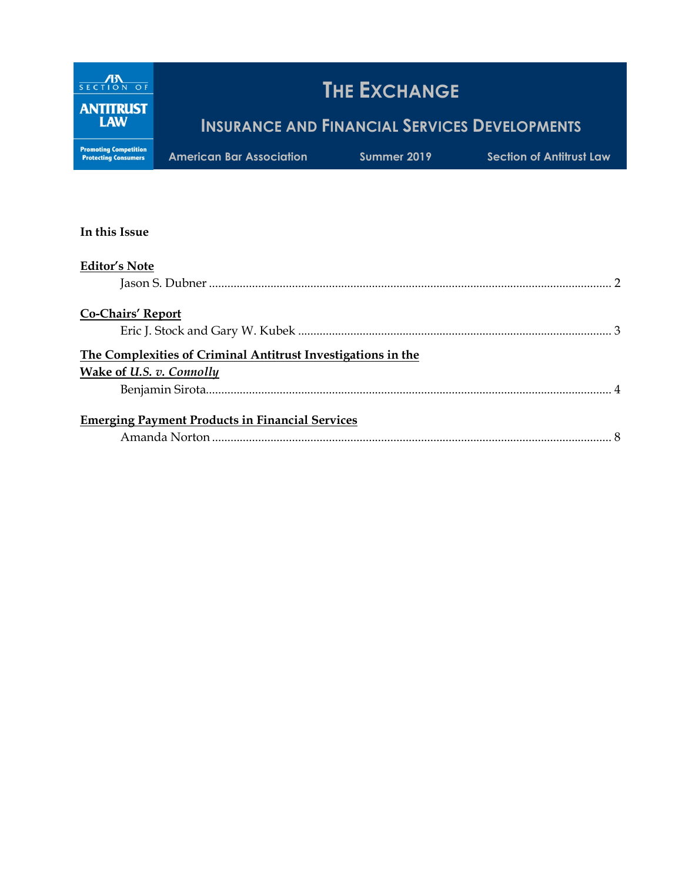

#### **In this Issue**

| <b>Editor's Note</b>                                         |  |
|--------------------------------------------------------------|--|
|                                                              |  |
| <b>Co-Chairs' Report</b>                                     |  |
|                                                              |  |
| The Complexities of Criminal Antitrust Investigations in the |  |
| <b>Wake of U.S. v. Connolly</b>                              |  |
|                                                              |  |
| <b>Emerging Payment Products in Financial Services</b>       |  |
|                                                              |  |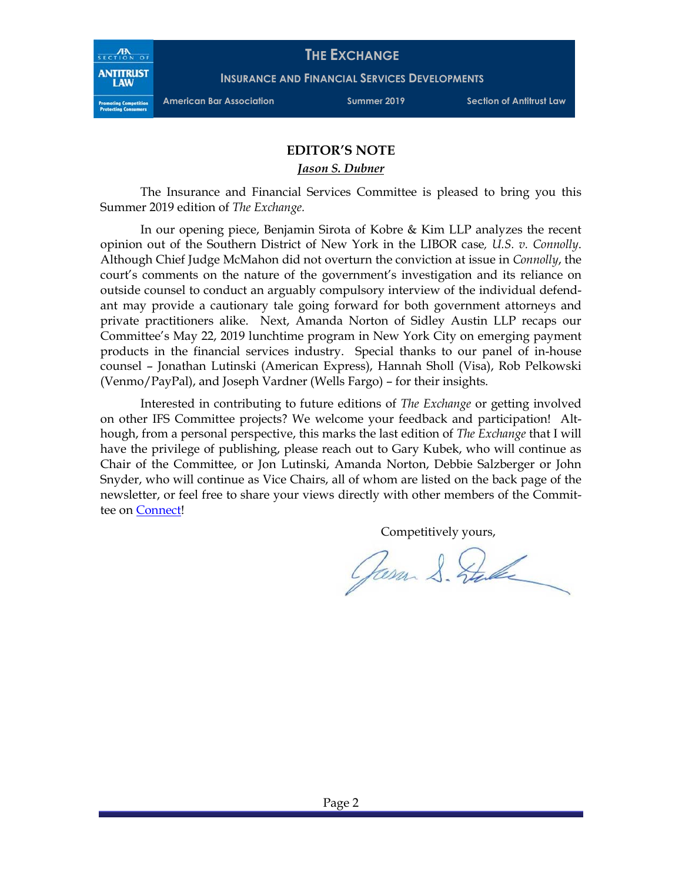

**INSURANCE AND FINANCIAL SERVICES DEVELOPMENTS**

**American Bar Association Summer 2019 Section of Antitrust Law**

#### **EDITOR'S NOTE**

*Jason S. Dubner* 

The Insurance and Financial Services Committee is pleased to bring you this Summer 2019 edition of *The Exchange.*

In our opening piece, Benjamin Sirota of Kobre & Kim LLP analyzes the recent opinion out of the Southern District of New York in the LIBOR case*, U.S. v. Connolly*. Although Chief Judge McMahon did not overturn the conviction at issue in *Connolly*, the court's comments on the nature of the government's investigation and its reliance on outside counsel to conduct an arguably compulsory interview of the individual defendant may provide a cautionary tale going forward for both government attorneys and private practitioners alike. Next, Amanda Norton of Sidley Austin LLP recaps our Committee's May 22, 2019 lunchtime program in New York City on emerging payment products in the financial services industry. Special thanks to our panel of in-house counsel – Jonathan Lutinski (American Express), Hannah Sholl (Visa), Rob Pelkowski (Venmo/PayPal), and Joseph Vardner (Wells Fargo) – for their insights.

Interested in contributing to future editions of *The Exchange* or getting involved on other IFS Committee projects? We welcome your feedback and participation! Although, from a personal perspective, this marks the last edition of *The Exchange* that I will have the privilege of publishing, please reach out to Gary Kubek, who will continue as Chair of the Committee, or Jon Lutinski, Amanda Norton, Debbie Salzberger or John Snyder, who will continue as Vice Chairs, all of whom are listed on the back page of the newsletter, or feel free to share your views directly with other members of the Committee on Connect!

Competitively yours,

Jasm S. Stale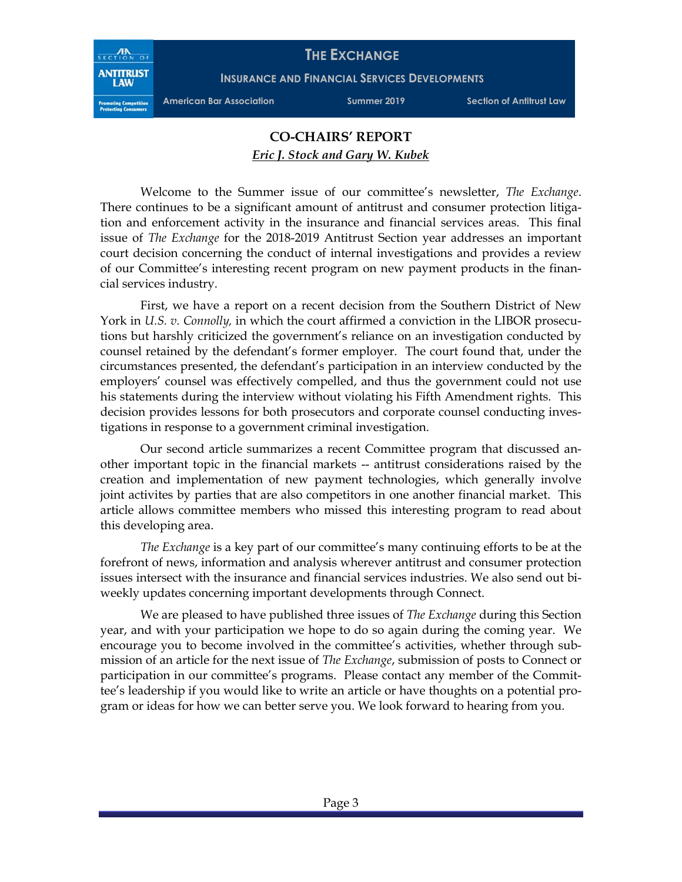

**INSURANCE AND FINANCIAL SERVICES DEVELOPMENTS**

**American Bar Association Summer 2019 Section of Antitrust Law**

## **CO-CHAIRS' REPORT** *Eric J. Stock and Gary W. Kubek*

Welcome to the Summer issue of our committee's newsletter, *The Exchange*. There continues to be a significant amount of antitrust and consumer protection litigation and enforcement activity in the insurance and financial services areas. This final issue of *The Exchange* for the 2018-2019 Antitrust Section year addresses an important court decision concerning the conduct of internal investigations and provides a review of our Committee's interesting recent program on new payment products in the financial services industry.

First, we have a report on a recent decision from the Southern District of New York in *U.S. v. Connolly,* in which the court affirmed a conviction in the LIBOR prosecutions but harshly criticized the government's reliance on an investigation conducted by counsel retained by the defendant's former employer. The court found that, under the circumstances presented, the defendant's participation in an interview conducted by the employers' counsel was effectively compelled, and thus the government could not use his statements during the interview without violating his Fifth Amendment rights. This decision provides lessons for both prosecutors and corporate counsel conducting investigations in response to a government criminal investigation.

Our second article summarizes a recent Committee program that discussed another important topic in the financial markets -- antitrust considerations raised by the creation and implementation of new payment technologies, which generally involve joint activites by parties that are also competitors in one another financial market. This article allows committee members who missed this interesting program to read about this developing area.

*The Exchange* is a key part of our committee's many continuing efforts to be at the forefront of news, information and analysis wherever antitrust and consumer protection issues intersect with the insurance and financial services industries. We also send out biweekly updates concerning important developments through Connect.

We are pleased to have published three issues of *The Exchange* during this Section year, and with your participation we hope to do so again during the coming year. We encourage you to become involved in the committee's activities, whether through submission of an article for the next issue of *The Exchange*, submission of posts to Connect or participation in our committee's programs. Please contact any member of the Committee's leadership if you would like to write an article or have thoughts on a potential program or ideas for how we can better serve you. We look forward to hearing from you.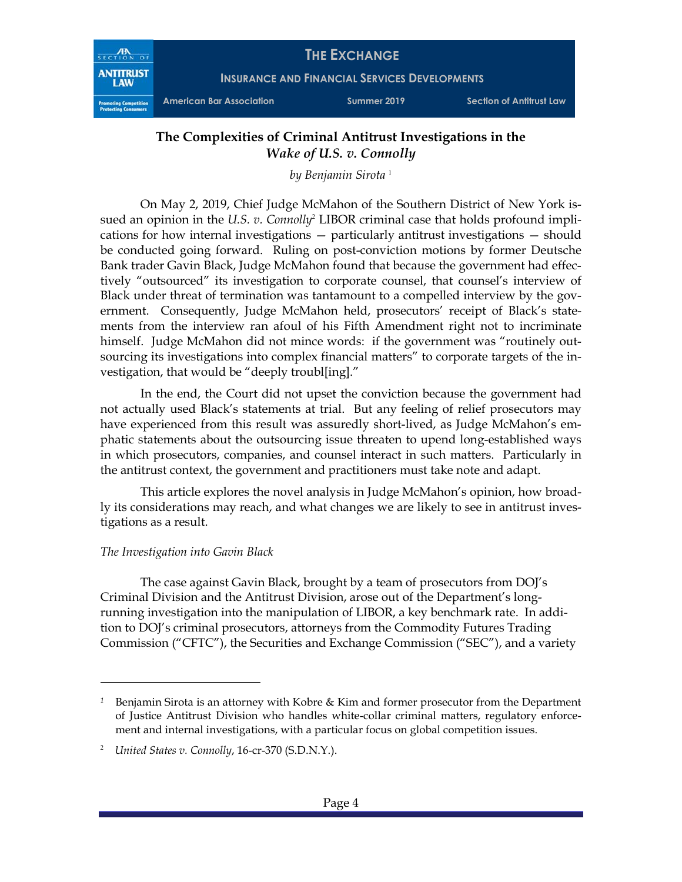

# **The Complexities of Criminal Antitrust Investigations in the**  *Wake of U.S. v. Connolly*

*by Benjamin Sirota* <sup>1</sup>

On May 2, 2019, Chief Judge McMahon of the Southern District of New York issued an opinion in the *U.S. v. Connolly*<sup>2</sup> LIBOR criminal case that holds profound implications for how internal investigations — particularly antitrust investigations — should be conducted going forward. Ruling on post-conviction motions by former Deutsche Bank trader Gavin Black, Judge McMahon found that because the government had effectively "outsourced" its investigation to corporate counsel, that counsel's interview of Black under threat of termination was tantamount to a compelled interview by the government. Consequently, Judge McMahon held, prosecutors' receipt of Black's statements from the interview ran afoul of his Fifth Amendment right not to incriminate himself. Judge McMahon did not mince words: if the government was "routinely outsourcing its investigations into complex financial matters" to corporate targets of the investigation, that would be "deeply troubl[ing]."

In the end, the Court did not upset the conviction because the government had not actually used Black's statements at trial. But any feeling of relief prosecutors may have experienced from this result was assuredly short-lived, as Judge McMahon's emphatic statements about the outsourcing issue threaten to upend long-established ways in which prosecutors, companies, and counsel interact in such matters. Particularly in the antitrust context, the government and practitioners must take note and adapt.

This article explores the novel analysis in Judge McMahon's opinion, how broadly its considerations may reach, and what changes we are likely to see in antitrust investigations as a result.

## *The Investigation into Gavin Black*

 $\overline{a}$ 

The case against Gavin Black, brought by a team of prosecutors from DOJ's Criminal Division and the Antitrust Division, arose out of the Department's longrunning investigation into the manipulation of LIBOR, a key benchmark rate. In addition to DOJ's criminal prosecutors, attorneys from the Commodity Futures Trading Commission ("CFTC"), the Securities and Exchange Commission ("SEC"), and a variety

*<sup>1</sup>* Benjamin Sirota is an attorney with Kobre & Kim and former prosecutor from the Department of Justice Antitrust Division who handles white-collar criminal matters, regulatory enforcement and internal investigations, with a particular focus on global competition issues.

<sup>2</sup> *United States v. Connolly*, 16-cr-370 (S.D.N.Y.).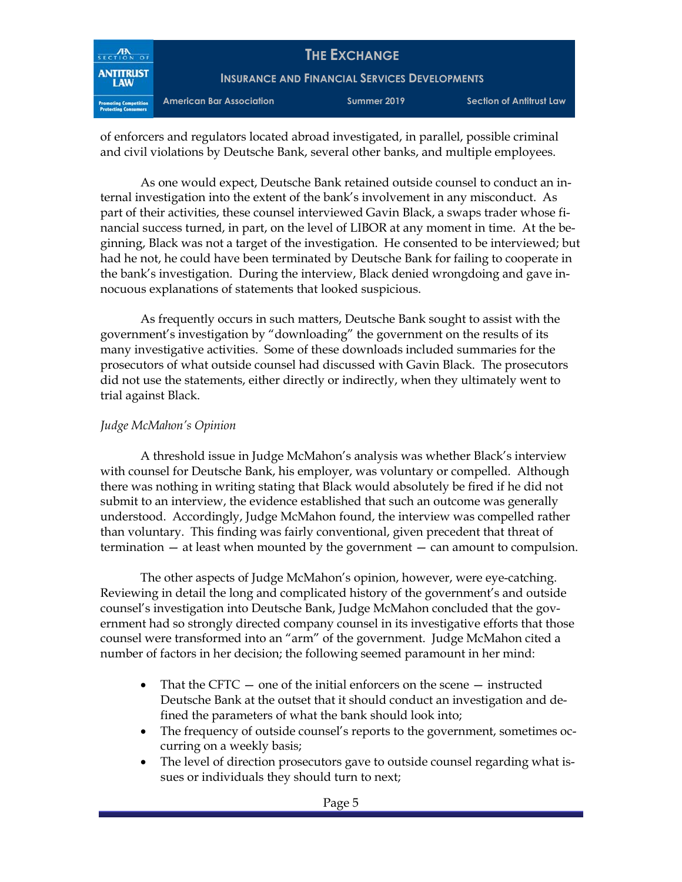

of enforcers and regulators located abroad investigated, in parallel, possible criminal and civil violations by Deutsche Bank, several other banks, and multiple employees.

As one would expect, Deutsche Bank retained outside counsel to conduct an internal investigation into the extent of the bank's involvement in any misconduct. As part of their activities, these counsel interviewed Gavin Black, a swaps trader whose financial success turned, in part, on the level of LIBOR at any moment in time. At the beginning, Black was not a target of the investigation. He consented to be interviewed; but had he not, he could have been terminated by Deutsche Bank for failing to cooperate in the bank's investigation. During the interview, Black denied wrongdoing and gave innocuous explanations of statements that looked suspicious.

As frequently occurs in such matters, Deutsche Bank sought to assist with the government's investigation by "downloading" the government on the results of its many investigative activities. Some of these downloads included summaries for the prosecutors of what outside counsel had discussed with Gavin Black. The prosecutors did not use the statements, either directly or indirectly, when they ultimately went to trial against Black.

## *Judge McMahon's Opinion*

A threshold issue in Judge McMahon's analysis was whether Black's interview with counsel for Deutsche Bank, his employer, was voluntary or compelled. Although there was nothing in writing stating that Black would absolutely be fired if he did not submit to an interview, the evidence established that such an outcome was generally understood. Accordingly, Judge McMahon found, the interview was compelled rather than voluntary. This finding was fairly conventional, given precedent that threat of termination — at least when mounted by the government — can amount to compulsion.

The other aspects of Judge McMahon's opinion, however, were eye-catching. Reviewing in detail the long and complicated history of the government's and outside counsel's investigation into Deutsche Bank, Judge McMahon concluded that the government had so strongly directed company counsel in its investigative efforts that those counsel were transformed into an "arm" of the government. Judge McMahon cited a number of factors in her decision; the following seemed paramount in her mind:

- That the CFTC one of the initial enforcers on the scene instructed Deutsche Bank at the outset that it should conduct an investigation and defined the parameters of what the bank should look into;
- The frequency of outside counsel's reports to the government, sometimes occurring on a weekly basis;
- The level of direction prosecutors gave to outside counsel regarding what issues or individuals they should turn to next;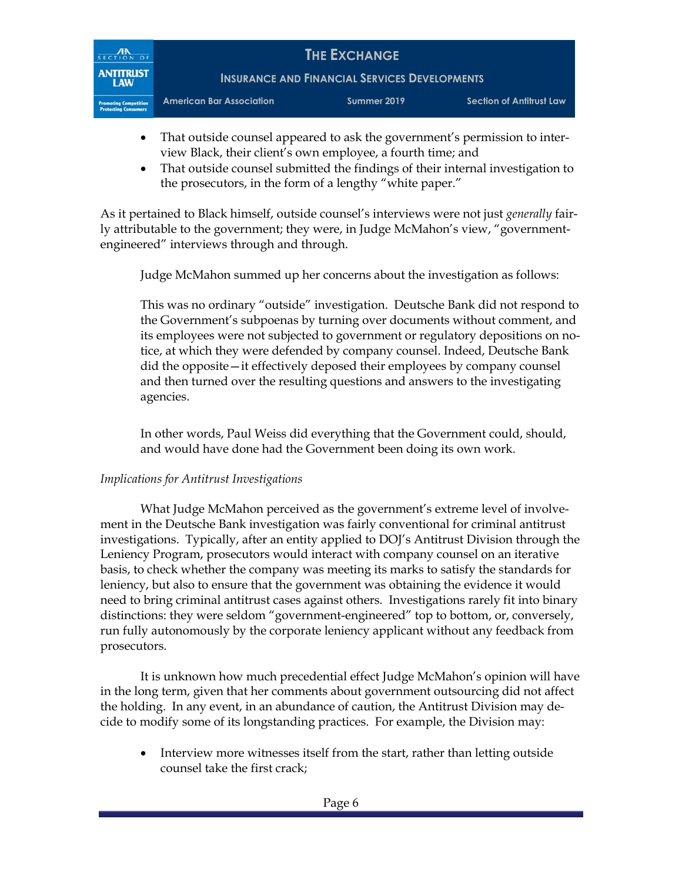

- That outside counsel appeared to ask the government's permission to interview Black, their client's own employee, a fourth time; and
- That outside counsel submitted the findings of their internal investigation to the prosecutors, in the form of a lengthy "white paper."

As it pertained to Black himself, outside counsel's interviews were not just *generally* fairly attributable to the government; they were, in Judge McMahon's view, "governmentengineered" interviews through and through.

Judge McMahon summed up her concerns about the investigation as follows:

This was no ordinary "outside" investigation. Deutsche Bank did not respond to the Government's subpoenas by turning over documents without comment, and its employees were not subjected to government or regulatory depositions on notice, at which they were defended by company counsel. Indeed, Deutsche Bank did the opposite—it effectively deposed their employees by company counsel and then turned over the resulting questions and answers to the investigating agencies.

In other words, Paul Weiss did everything that the Government could, should, and would have done had the Government been doing its own work.

## *Implications for Antitrust Investigations*

What Judge McMahon perceived as the government's extreme level of involvement in the Deutsche Bank investigation was fairly conventional for criminal antitrust investigations. Typically, after an entity applied to DOJ's Antitrust Division through the Leniency Program, prosecutors would interact with company counsel on an iterative basis, to check whether the company was meeting its marks to satisfy the standards for leniency, but also to ensure that the government was obtaining the evidence it would need to bring criminal antitrust cases against others. Investigations rarely fit into binary distinctions: they were seldom "government-engineered" top to bottom, or, conversely, run fully autonomously by the corporate leniency applicant without any feedback from prosecutors.

It is unknown how much precedential effect Judge McMahon's opinion will have in the long term, given that her comments about government outsourcing did not affect the holding. In any event, in an abundance of caution, the Antitrust Division may decide to modify some of its longstanding practices. For example, the Division may:

• Interview more witnesses itself from the start, rather than letting outside counsel take the first crack;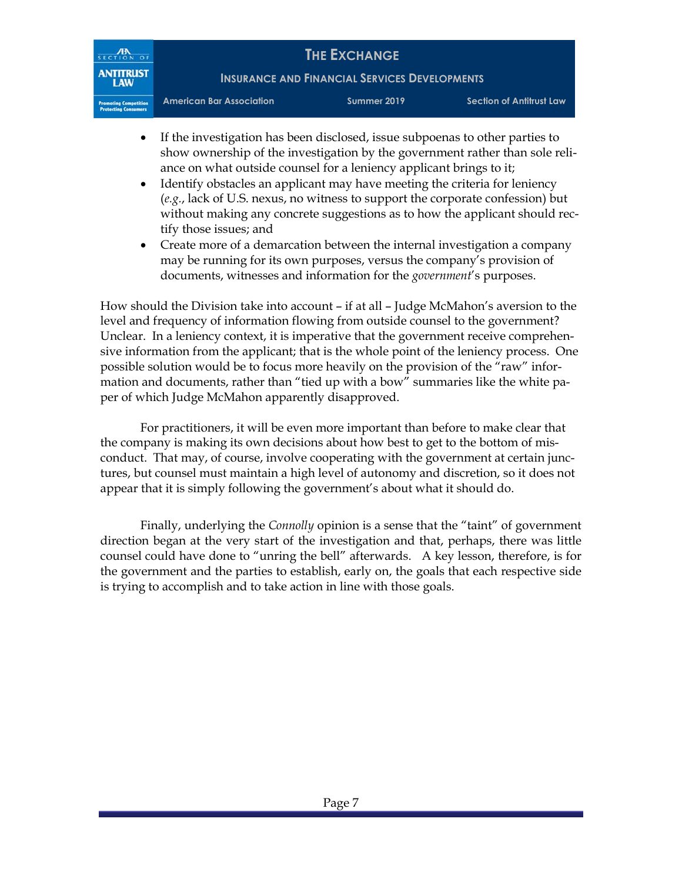

- If the investigation has been disclosed, issue subpoenas to other parties to show ownership of the investigation by the government rather than sole reliance on what outside counsel for a leniency applicant brings to it;
- Identify obstacles an applicant may have meeting the criteria for leniency (*e.g.*, lack of U.S. nexus, no witness to support the corporate confession) but without making any concrete suggestions as to how the applicant should rectify those issues; and
- Create more of a demarcation between the internal investigation a company may be running for its own purposes, versus the company's provision of documents, witnesses and information for the *government*'s purposes.

How should the Division take into account – if at all – Judge McMahon's aversion to the level and frequency of information flowing from outside counsel to the government? Unclear. In a leniency context, it is imperative that the government receive comprehensive information from the applicant; that is the whole point of the leniency process. One possible solution would be to focus more heavily on the provision of the "raw" information and documents, rather than "tied up with a bow" summaries like the white paper of which Judge McMahon apparently disapproved.

For practitioners, it will be even more important than before to make clear that the company is making its own decisions about how best to get to the bottom of misconduct. That may, of course, involve cooperating with the government at certain junctures, but counsel must maintain a high level of autonomy and discretion, so it does not appear that it is simply following the government's about what it should do.

 Finally, underlying the *Connolly* opinion is a sense that the "taint" of government direction began at the very start of the investigation and that, perhaps, there was little counsel could have done to "unring the bell" afterwards. A key lesson, therefore, is for the government and the parties to establish, early on, the goals that each respective side is trying to accomplish and to take action in line with those goals.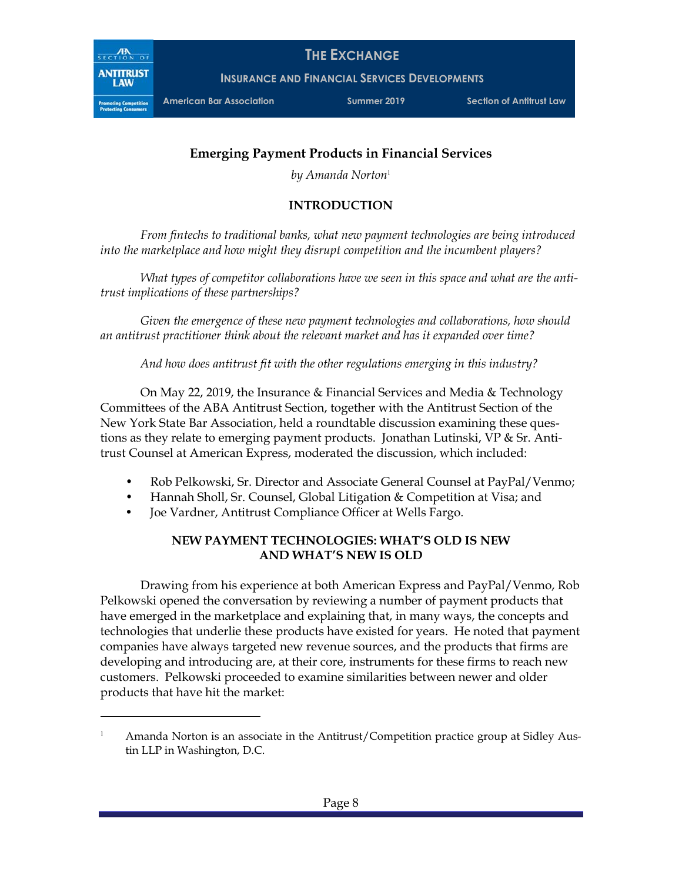

 $\overline{a}$ 

**THE EXCHANGE**

**INSURANCE AND FINANCIAL SERVICES DEVELOPMENTS**

**American Bar Association Summer 2019 Section of Antitrust Law**

# **Emerging Payment Products in Financial Services**

*by Amanda Norton*<sup>1</sup>

# **INTRODUCTION**

*From fintechs to traditional banks, what new payment technologies are being introduced into the marketplace and how might they disrupt competition and the incumbent players?* 

*What types of competitor collaborations have we seen in this space and what are the antitrust implications of these partnerships?* 

*Given the emergence of these new payment technologies and collaborations, how should an antitrust practitioner think about the relevant market and has it expanded over time?* 

*And how does antitrust fit with the other regulations emerging in this industry?* 

On May 22, 2019, the Insurance & Financial Services and Media & Technology Committees of the ABA Antitrust Section, together with the Antitrust Section of the New York State Bar Association, held a roundtable discussion examining these questions as they relate to emerging payment products. Jonathan Lutinski, VP & Sr. Antitrust Counsel at American Express, moderated the discussion, which included:

- Rob Pelkowski, Sr. Director and Associate General Counsel at PayPal/Venmo;
- Hannah Sholl, Sr. Counsel, Global Litigation & Competition at Visa; and
- Joe Vardner, Antitrust Compliance Officer at Wells Fargo.

## **NEW PAYMENT TECHNOLOGIES: WHAT'S OLD IS NEW AND WHAT'S NEW IS OLD**

Drawing from his experience at both American Express and PayPal/Venmo, Rob Pelkowski opened the conversation by reviewing a number of payment products that have emerged in the marketplace and explaining that, in many ways, the concepts and technologies that underlie these products have existed for years. He noted that payment companies have always targeted new revenue sources, and the products that firms are developing and introducing are, at their core, instruments for these firms to reach new customers. Pelkowski proceeded to examine similarities between newer and older products that have hit the market:

<sup>1</sup> Amanda Norton is an associate in the Antitrust/Competition practice group at Sidley Austin LLP in Washington, D.C.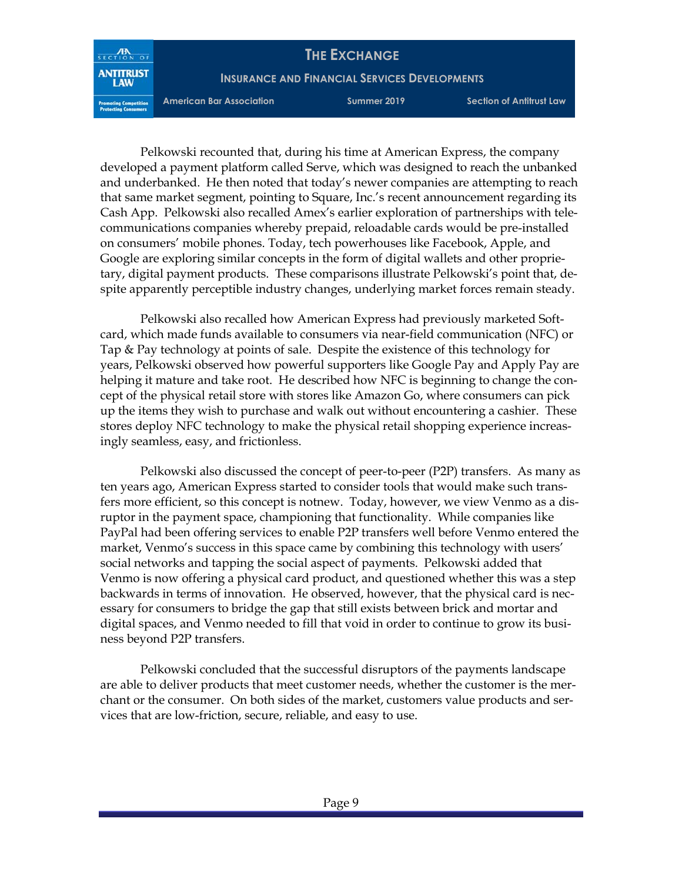**INSURANCE AND FINANCIAL SERVICES DEVELOPMENTS**

SECTION OF **ANTITRUST** 

**American Bar Association Summer 2019 Section of Antitrust Law**

Pelkowski recounted that, during his time at American Express, the company developed a payment platform called Serve, which was designed to reach the unbanked and underbanked. He then noted that today's newer companies are attempting to reach that same market segment, pointing to Square, Inc.'s recent announcement regarding its Cash App. Pelkowski also recalled Amex's earlier exploration of partnerships with telecommunications companies whereby prepaid, reloadable cards would be pre-installed on consumers' mobile phones. Today, tech powerhouses like Facebook, Apple, and Google are exploring similar concepts in the form of digital wallets and other proprietary, digital payment products. These comparisons illustrate Pelkowski's point that, despite apparently perceptible industry changes, underlying market forces remain steady.

Pelkowski also recalled how American Express had previously marketed Softcard, which made funds available to consumers via near-field communication (NFC) or Tap & Pay technology at points of sale. Despite the existence of this technology for years, Pelkowski observed how powerful supporters like Google Pay and Apply Pay are helping it mature and take root. He described how NFC is beginning to change the concept of the physical retail store with stores like Amazon Go, where consumers can pick up the items they wish to purchase and walk out without encountering a cashier. These stores deploy NFC technology to make the physical retail shopping experience increasingly seamless, easy, and frictionless.

Pelkowski also discussed the concept of peer-to-peer (P2P) transfers. As many as ten years ago, American Express started to consider tools that would make such transfers more efficient, so this concept is notnew. Today, however, we view Venmo as a disruptor in the payment space, championing that functionality. While companies like PayPal had been offering services to enable P2P transfers well before Venmo entered the market, Venmo's success in this space came by combining this technology with users' social networks and tapping the social aspect of payments. Pelkowski added that Venmo is now offering a physical card product, and questioned whether this was a step backwards in terms of innovation. He observed, however, that the physical card is necessary for consumers to bridge the gap that still exists between brick and mortar and digital spaces, and Venmo needed to fill that void in order to continue to grow its business beyond P2P transfers.

Pelkowski concluded that the successful disruptors of the payments landscape are able to deliver products that meet customer needs, whether the customer is the merchant or the consumer. On both sides of the market, customers value products and services that are low-friction, secure, reliable, and easy to use.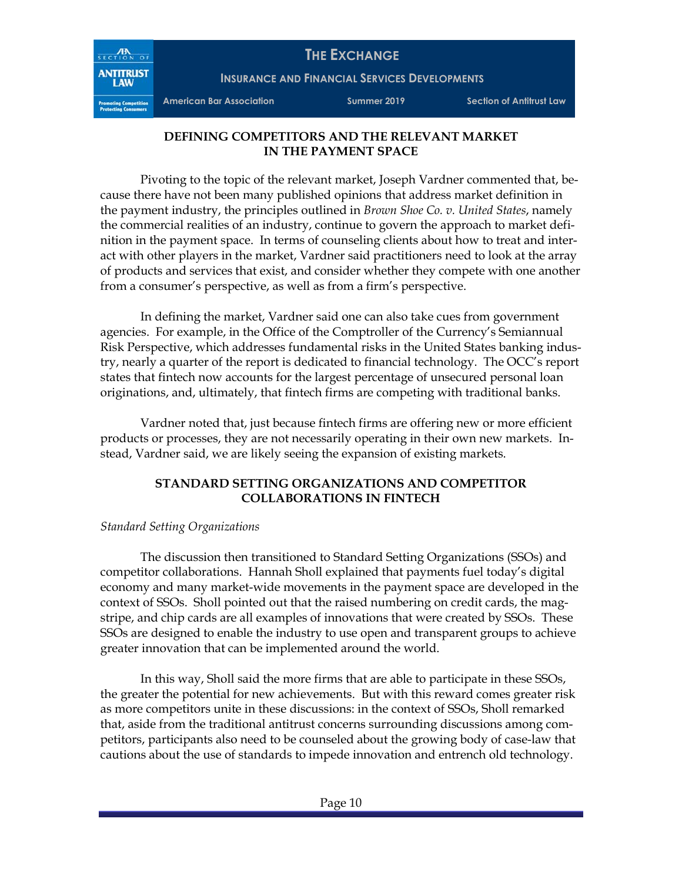

**INSURANCE AND FINANCIAL SERVICES DEVELOPMENTS**

SECTION OF **ANTITRUST** 

**American Bar Association Summer 2019 Section of Antitrust Law**

## **DEFINING COMPETITORS AND THE RELEVANT MARKET IN THE PAYMENT SPACE**

Pivoting to the topic of the relevant market, Joseph Vardner commented that, because there have not been many published opinions that address market definition in the payment industry, the principles outlined in *Brown Shoe Co. v. United States*, namely the commercial realities of an industry, continue to govern the approach to market definition in the payment space. In terms of counseling clients about how to treat and interact with other players in the market, Vardner said practitioners need to look at the array of products and services that exist, and consider whether they compete with one another from a consumer's perspective, as well as from a firm's perspective.

In defining the market, Vardner said one can also take cues from government agencies. For example, in the Office of the Comptroller of the Currency's Semiannual Risk Perspective, which addresses fundamental risks in the United States banking industry, nearly a quarter of the report is dedicated to financial technology. The OCC's report states that fintech now accounts for the largest percentage of unsecured personal loan originations, and, ultimately, that fintech firms are competing with traditional banks.

Vardner noted that, just because fintech firms are offering new or more efficient products or processes, they are not necessarily operating in their own new markets. Instead, Vardner said, we are likely seeing the expansion of existing markets.

#### **STANDARD SETTING ORGANIZATIONS AND COMPETITOR COLLABORATIONS IN FINTECH**

#### *Standard Setting Organizations*

The discussion then transitioned to Standard Setting Organizations (SSOs) and competitor collaborations. Hannah Sholl explained that payments fuel today's digital economy and many market-wide movements in the payment space are developed in the context of SSOs. Sholl pointed out that the raised numbering on credit cards, the magstripe, and chip cards are all examples of innovations that were created by SSOs. These SSOs are designed to enable the industry to use open and transparent groups to achieve greater innovation that can be implemented around the world.

In this way, Sholl said the more firms that are able to participate in these SSOs, the greater the potential for new achievements. But with this reward comes greater risk as more competitors unite in these discussions: in the context of SSOs, Sholl remarked that, aside from the traditional antitrust concerns surrounding discussions among competitors, participants also need to be counseled about the growing body of case-law that cautions about the use of standards to impede innovation and entrench old technology.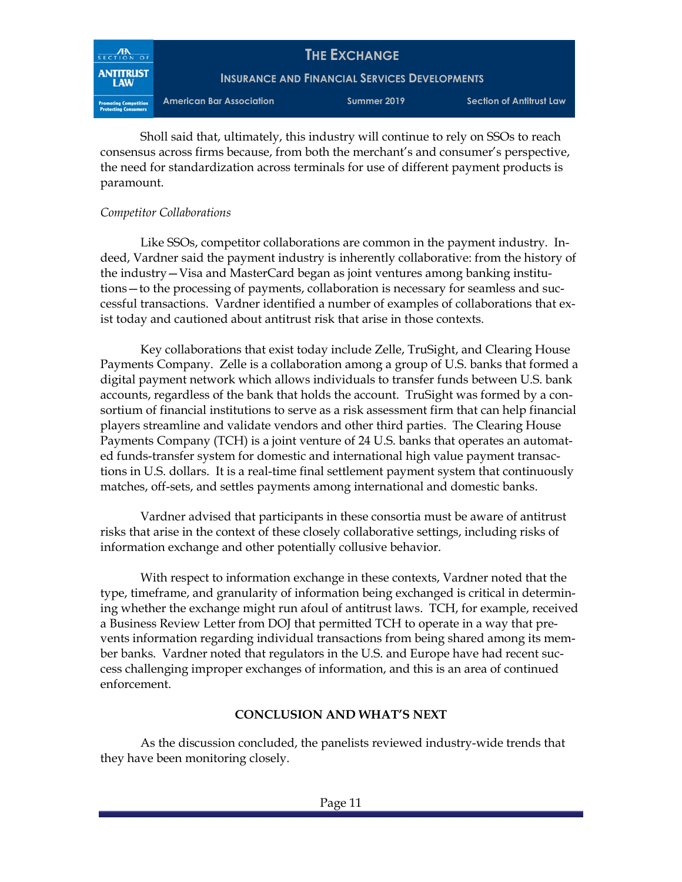

Sholl said that, ultimately, this industry will continue to rely on SSOs to reach consensus across firms because, from both the merchant's and consumer's perspective, the need for standardization across terminals for use of different payment products is paramount.

#### *Competitor Collaborations*

Like SSOs, competitor collaborations are common in the payment industry. Indeed, Vardner said the payment industry is inherently collaborative: from the history of the industry—Visa and MasterCard began as joint ventures among banking institutions—to the processing of payments, collaboration is necessary for seamless and successful transactions. Vardner identified a number of examples of collaborations that exist today and cautioned about antitrust risk that arise in those contexts.

Key collaborations that exist today include Zelle, TruSight, and Clearing House Payments Company. Zelle is a collaboration among a group of U.S. banks that formed a digital payment network which allows individuals to transfer funds between U.S. bank accounts, regardless of the bank that holds the account. TruSight was formed by a consortium of financial institutions to serve as a risk assessment firm that can help financial players streamline and validate vendors and other third parties. The Clearing House Payments Company (TCH) is a joint venture of 24 U.S. banks that operates an automated funds-transfer system for domestic and international high value payment transactions in U.S. dollars. It is a real-time final settlement payment system that continuously matches, off-sets, and settles payments among international and domestic banks.

Vardner advised that participants in these consortia must be aware of antitrust risks that arise in the context of these closely collaborative settings, including risks of information exchange and other potentially collusive behavior.

With respect to information exchange in these contexts, Vardner noted that the type, timeframe, and granularity of information being exchanged is critical in determining whether the exchange might run afoul of antitrust laws. TCH, for example, received a Business Review Letter from DOJ that permitted TCH to operate in a way that prevents information regarding individual transactions from being shared among its member banks. Vardner noted that regulators in the U.S. and Europe have had recent success challenging improper exchanges of information, and this is an area of continued enforcement.

#### **CONCLUSION AND WHAT'S NEXT**

As the discussion concluded, the panelists reviewed industry-wide trends that they have been monitoring closely.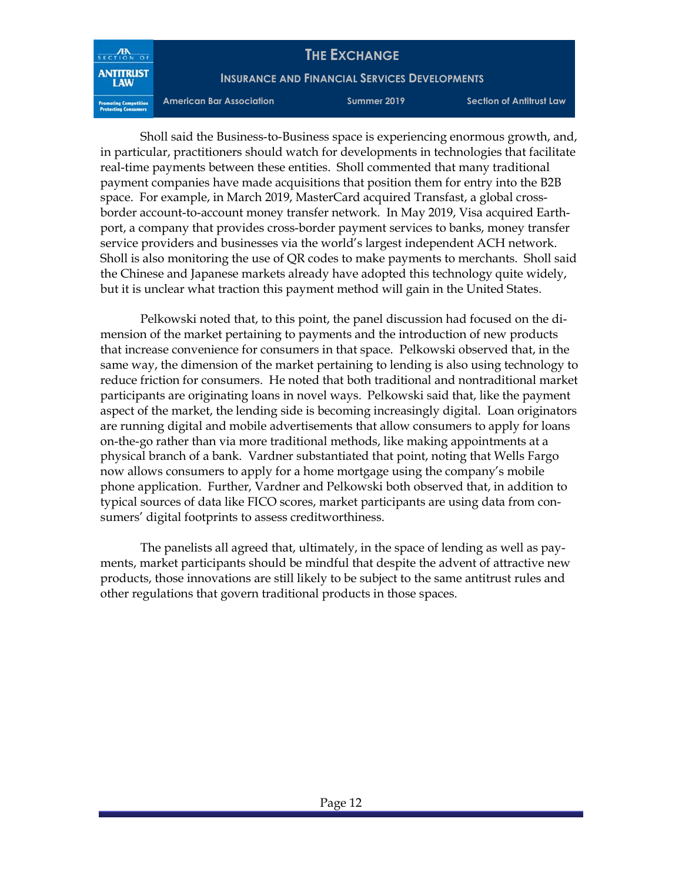**INSURANCE AND FINANCIAL SERVICES DEVELOPMENTS**

SECTION OF **ANTITRUST** 

**American Bar Association Summer 2019 Section of Antitrust Law**

Sholl said the Business-to-Business space is experiencing enormous growth, and, in particular, practitioners should watch for developments in technologies that facilitate real-time payments between these entities. Sholl commented that many traditional payment companies have made acquisitions that position them for entry into the B2B space. For example, in March 2019, MasterCard acquired Transfast, a global crossborder account-to-account money transfer network. In May 2019, Visa acquired Earthport, a company that provides cross-border payment services to banks, money transfer service providers and businesses via the world's largest independent ACH network. Sholl is also monitoring the use of QR codes to make payments to merchants. Sholl said the Chinese and Japanese markets already have adopted this technology quite widely, but it is unclear what traction this payment method will gain in the United States.

Pelkowski noted that, to this point, the panel discussion had focused on the dimension of the market pertaining to payments and the introduction of new products that increase convenience for consumers in that space. Pelkowski observed that, in the same way, the dimension of the market pertaining to lending is also using technology to reduce friction for consumers. He noted that both traditional and nontraditional market participants are originating loans in novel ways. Pelkowski said that, like the payment aspect of the market, the lending side is becoming increasingly digital. Loan originators are running digital and mobile advertisements that allow consumers to apply for loans on-the-go rather than via more traditional methods, like making appointments at a physical branch of a bank. Vardner substantiated that point, noting that Wells Fargo now allows consumers to apply for a home mortgage using the company's mobile phone application. Further, Vardner and Pelkowski both observed that, in addition to typical sources of data like FICO scores, market participants are using data from consumers' digital footprints to assess creditworthiness.

The panelists all agreed that, ultimately, in the space of lending as well as payments, market participants should be mindful that despite the advent of attractive new products, those innovations are still likely to be subject to the same antitrust rules and other regulations that govern traditional products in those spaces.